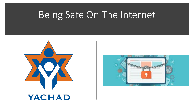



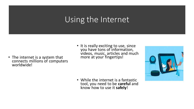# Using the Internet

- The internet is a system that connects millions of computers worldwide!
- It is really exciting to use, since you have tons of information, videos, music, articles and much more at your fingertips!



• While the internet is a fantastic tool, you need to be **careful** and know how to use it **safely**!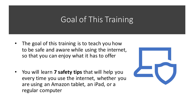# Goal of This Training

- The goal of this training is to teach you how to be safe and aware while using the internet, so that you can enjoy what it has to offer
- You will learn **7 safety tips** that will help you every time you use the internet, whether you are using an Amazon tablet, an iPad, or a regular computer

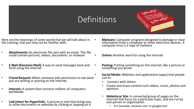### **Definitions**



- Here are the meanings of some words that we will talk about in the training, that you may not be familiar with:
- **Attachments:**An electronic file sent with an email. This file could contain pictures, videos, documents or malware
- **E-Mail (Electonic Mail):** A way to send messages back and forth using the internet
- **Friend Request:** When someone asks permission to see what you are writing or posting on the internet
- **Internet:** A system that connects millions of computers worldwide
- **Link (short for Hyperlink):** A picture or text that brings you to other documents or websites by clicking or tapping on it
- **Malware:** Computer programs designed to damage or steal information from a computer or other electronic devices. A computer virus is a type of malware
	- **Online:**Another word for using the internet
	- **Posting:** Putting something on the internet, like a picture or something you wrote
	- **Social Media:** Websites and applications (apps) that people use to:
		- Connect with others
		- Create and share content such videos, music, photos and opinions
		- **Website or Site**: A connected group of pages on the internet that focus on a particular topic, and are run by one person or organization
			- For example, amazon.com or google.com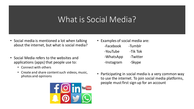## What is Social Media?

- Social media is mentioned a lot when talking about the internet, but what is social media?
- Social Media refers to the websites and applications (apps) that people use to:
	- Connect with others
	- Create and share content such videos, music, photos and opinions



- Examples of social media are: -Facebook -Tumblr -YouTube -Tik Tok -WhatsApp -Twitter -Instagram -Skype
- Participating in social media is a very common way to use the internet. To join social media platforms, people must first sign up for an account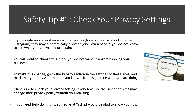# Safety Tip #1: Check Your Privacy Settings

- If you create an account on social media sites (for example Facebook, Twitter, Instagram) they may automatically allow anyone, **even people you do not know**, to see what you are writing or posting
- You will want to change this, since you do not want strangers knowing your business
- To make this change, go to the Privacy section in the settings of these sites, and mark that you only want people you know ("friends") to see what you are doing
- Make sure to check your privacy settings every few months, since the sites may change their privacy policy without you realizing
- If you need help doing this, someone at Yachad would be glad to show you how!

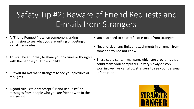# Safety Tip #2: Beware of Friend Requests and E-mails from Strangers

- A "Friend Request" is when someone is asking permission to see what you are writing or posting on social media sites
- This can be a fun way to share your pictures or thoughts with the people you know and like
- But you **Do Not** want strangers to see your pictures or thoughts
- A good rule is to only accept "Friend Requests" or messages from people who you are friends with in the real world
- You also need to be careful of e-mails from strangers
- Never click on any links or attachments in an email from someone you do not know!
- These could contain malware, which are programs that could make your computer run very slowly or stop working well, or can allow strangers to see your personal information

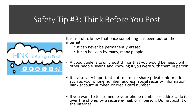## Safety Tip #3: Think Before You Post



It is useful to know that once something has been put on the internet:

- It can never be permanently erased
- It can be seen by many, many people
- A good guide is to only post things that you would be happy with other people seeing and knowing if you were with them in person
- It is also very important not to post or share private information, such as your phone number, address, social security information, bank account number, or credit card number
- If you want to tell someone your phone number or address, do it over the phone, by a secure e-mail, or in person. Do not post it on the internet!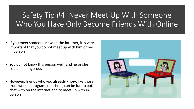## Safety Tip #4: Never Meet Up With Someone Who You Have Only Become Friends With Online

- If you meet someone **new** on the internet, it is very important that you do not meet up with him or her in person
- You do not know this person well, and he or she could be dangerous
- However, friends who you **already know**, like those from work, a program, or school, can be fun to both chat with on the internet and to meet up with in person

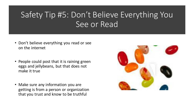# Safety Tip #5: Don't Believe Everything You See or Read

- Don't believe everything you read or see on the internet
- People could post that it is raining green eggs and jellybeans, but that does not make it true
- Make sure any information you are getting is from a person or organization that you trust and know to be truthful

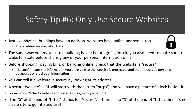# Safety Tip #6: Only Use Secure Websites

- Just like physical buildings have an address, websites have online addresses too
	- These addresses are called URLs
- The same way you make sure a building is safe before going into it, you also need to make sure a website is safe before sharing any of your personal information on it
- Before shopping, paying bills, or banking online, check that the website is "secure"
	- "Secure" means the information you are giving to the website is protected, and that no outside person can eavesdrop or steal your information
- You can tell if a website is secure by looking at its address
- A secure website's URL will start with the letters "https", and will have a picture of a lock beside it
- For instance, Yachad's website address is: https://www.yachad.org
- The "S" at the end of "https" stands for "secure". If there is no "S" at the end of "http", then it's not a safe site to go into and use!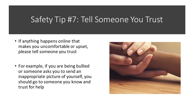### Safety Tip #7: Tell Someone You Trust

- If anything happens online that makes you uncomfortable or upset, please tell someone you trust
- For example, if you are being bullied or someone asks you to send an inappropriate picture of yourself, you should go to someone you know and trust for help

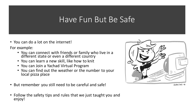### Have Fun But Be Safe

• You can do a lot on the internet!

For example:

- You can connect with friends or family who live in a different state or even a different country
- You can learn a new skill, like how to knit
- You can Join a Yachad Virtual Program
- You can find out the weather or the number to your local pizza place
- But remember you still need to be careful and safe!





CORPLINE 'N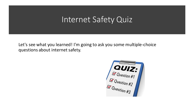### Internet Safety Quiz

Let's see what you learned! I'm going to ask you some multiple-choice questions about internet safety.

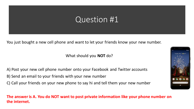You just bought a new cell phone and want to let your friends know your new number.

#### What should you **NOT** do?

- A) Post your new cell phone number onto your Facebook and Twitter accounts
- B) Send an email to your friends with your new number
- C) Call your friends on your new phone to say hi and tell them your new number

#### **The answer is A. You do NOT want to post private information like your phone number on the internet.**

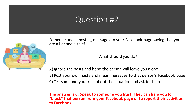

Someone keeps posting messages to your Facebook page saying that you are a liar and a thief.

What **should** you do?

A) Ignore the posts and hope the person will leave you alone B) Post your own nasty and mean messages to that person's Facebook page C) Tell someone you trust about the situation and ask for help

**The answer is C. Speak to someone you trust. They can help you to "block" that person from your Facebook page or to report their activities to Facebook.**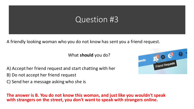A friendly looking woman who you do not know has sent you a friend request.

What **should** you do?

A) Accept her friend request and start chatting with her

B) Do not accept her friend request

C) Send her a message asking who she is

**The answer is B. You do not know this woman, and just like you wouldn't speak with strangers on the street, you don't want to speak with strangers online.** 

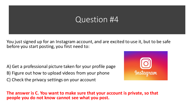You just signed up for an Instagram account, and are excited to use it, but to be safe before you start posting, you first need to:

A) Get a professional picture taken for your profile page B) Figure out how to upload videos from your phone C) Check the privacy settings on your account



**The answer is C. You want to make sure that your account is private, so that people you do not know cannot see what you post.**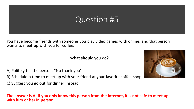You have become friends with someone you play video games with online, and that person wants to meet up with you for coffee.

What **should** you do?

A) Politely tell the person, "No thank you"

B) Schedule a time to meet up with your friend at your favorite coffee shop

C) Suggest you go out for dinner instead

#### **The answer is A. If you only know this person from the internet, it is not safe to meet up with him or her in person.**

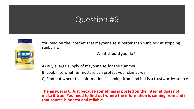

You read on the internet that mayonnaise is better than sunblock at stopping sunburns.

What **should** you do?

A) Buy a large supply of mayonnaise for the summer B) Look into whether mustard can protect your skin as well C) Find out where this information is coming from and if it is a trustworthy source

**The answer is C. Just because something is posted on the internet does not make it true! You need to find out where the information is coming from and if that source is honest and reliable.**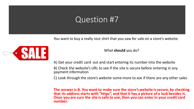You want to buy a really nice shirt that you saw for sale on a store's website.



What **should** you do?

A) Get your credit card out and start entering its number into the website

B) Check the website's URL to see if the site is secure before entering in any payment information

C) Look through the store's website some more to see if there are any other sales

**The answer is B. You want to make sure the store's website is secure, by checking that its address starts with "https", and that it has a picture of a lock besides it. Once you are sure the site is safe to use, then you can enter in your credit card number.**